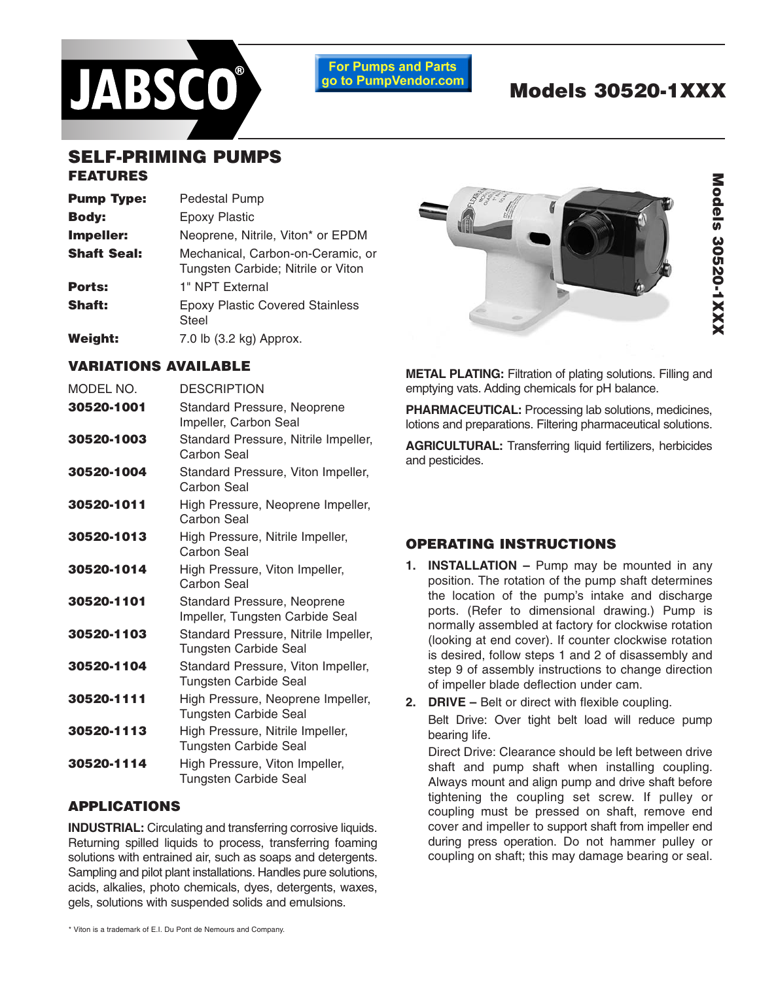

**For Pumps and Parts** go to PumpVendor.com

# **Models 30520-1XXX**

#### **SELF-PRIMING PUMPS FEATURES**

## **Pump Type:** Pedestal Pump **Body:** Epoxy Plastic **Impeller:** Neoprene, Nitrile, Viton\* or EPDM **Shaft Seal:** Mechanical, Carbon-on-Ceramic, or Tungsten Carbide; Nitrile or Viton Ports: 1" NPT External **Shaft:** Epoxy Plastic Covered Stainless Steel **Weight:** 7.0 lb (3.2 kg) Approx.



**To do so can cause an explosion resulting in injury or death.** 

#### **VARIATIONS AVAILABLE**

| MODEL NO.  | <b>DESCRIPTION</b>                                                 |  |  |
|------------|--------------------------------------------------------------------|--|--|
| 30520-1001 | Standard Pressure, Neoprene<br>Impeller, Carbon Seal               |  |  |
| 30520-1003 | Standard Pressure, Nitrile Impeller,<br>Carbon Seal                |  |  |
| 30520-1004 | Standard Pressure, Viton Impeller,<br>Carbon Seal                  |  |  |
| 30520-1011 | High Pressure, Neoprene Impeller,<br>Carbon Seal                   |  |  |
| 30520-1013 | High Pressure, Nitrile Impeller,<br>Carbon Seal                    |  |  |
| 30520-1014 | High Pressure, Viton Impeller,<br>Carbon Seal                      |  |  |
| 30520-1101 | Standard Pressure, Neoprene<br>Impeller, Tungsten Carbide Seal     |  |  |
| 30520-1103 | Standard Pressure, Nitrile Impeller,<br>Tungsten Carbide Seal      |  |  |
| 30520-1104 | Standard Pressure, Viton Impeller,<br><b>Tungsten Carbide Seal</b> |  |  |
| 30520-1111 | High Pressure, Neoprene Impeller,<br><b>Tungsten Carbide Seal</b>  |  |  |
| 30520-1113 | High Pressure, Nitrile Impeller,<br><b>Tungsten Carbide Seal</b>   |  |  |
| 30520-1114 | High Pressure, Viton Impeller,<br><b>Tungsten Carbide Seal</b>     |  |  |

#### **APPLICATIONS**

**INDUSTRIAL:** Circulating and transferring corrosive liquids. Returning spilled liquids to process, transferring foaming solutions with entrained air, such as soaps and detergents. Sampling and pilot plant installations. Handles pure solutions, acids, alkalies, photo chemicals, dyes, detergents, waxes, gels, solutions with suspended solids and emulsions.

**METAL PLATING:** Filtration of plating solutions. Filling and emptying vats. Adding chemicals for pH balance.

PHARMACEUTICAL: Processing lab solutions, medicines, lotions and preparations. Filtering pharmaceutical solutions. **Injury hazard. Exposed pulleys and belts can cause injury. Install shield around pulleys and** 

**AGRICULTURAL:** Transferring liquid fertilizers, herbicides and pesticides. **belts. Stay clear while machinery is operating.**

#### **OPERATING INSTRUCTIONS**

- **1. INSTALLATION –** Pump may be mounted in any position. The rotation of the pump shaft determines the location of the pump's intake and discharge ports. (Refer to dimensional drawing.) Pump is normally assembled at factory for clockwise rotation (looking at end cover). If counter clockwise rotation is desired, follow steps 1 and 2 of disassembly and step 9 of assembly instructions to change direction of impeller blade deflection under cam.
- **2. DRIVE** Belt or direct with flexible coupling. Belt Drive: Over tight belt load will reduce pump bearing life.

Direct Drive: Clearance should be left between drive shaft and pump shaft when installing coupling. Always mount and align pump and drive shaft before tightening the coupling set screw. If pulley or coupling must be pressed on shaft, remove end cover and impeller to support shaft from impeller end during press operation. Do not hammer pulley or coupling on shaft; this may damage bearing or seal.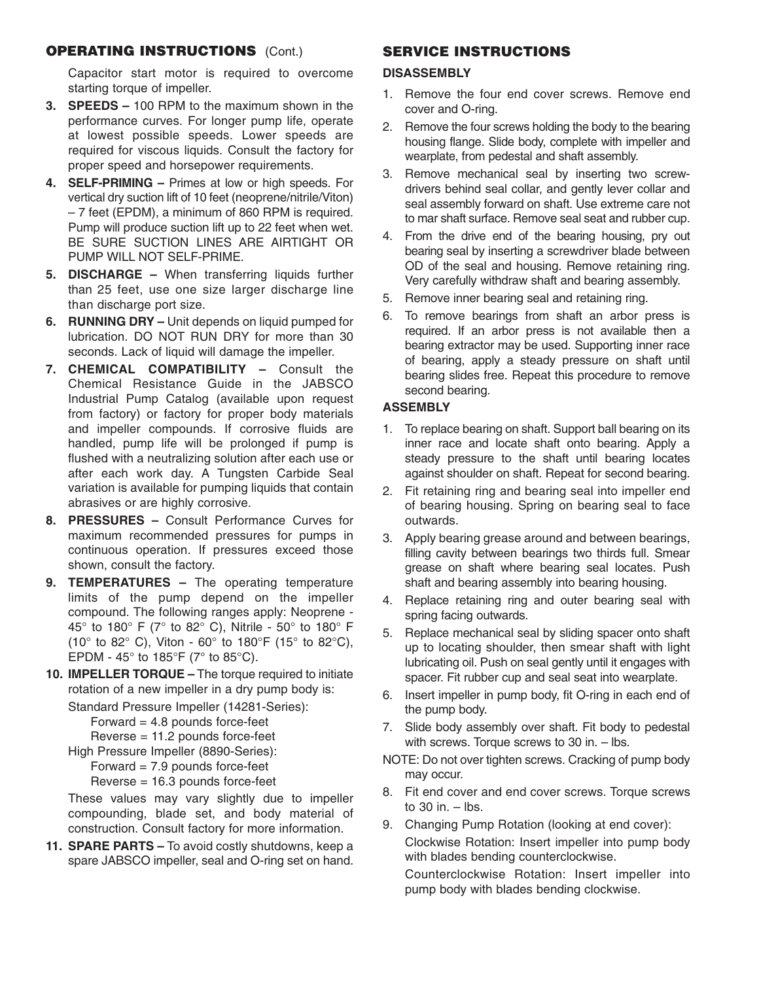## **OPERATING INSTRUCTIONS** (Cont.)

Capacitor start motor is required to overcome starting torque of impeller.

- **3. SPEEDS –** 100 RPM to the maximum shown in the performance curves. For longer pump life, operate at lowest possible speeds. Lower speeds are required for viscous liquids. Consult the factory for proper speed and horsepower requirements.
- **4. SELF-PRIMING –** Primes at low or high speeds. For vertical dry suction lift of 10 feet (neoprene/nitrile/Viton) – 7 feet (EPDM), a minimum of 860 RPM is required. Pump will produce suction lift up to 22 feet when wet. BE SURE SUCTION LINES ARE AIRTIGHT OR PUMP WILL NOT SELF-PRIME.
- **5. DISCHARGE –** When transferring liquids further than 25 feet, use one size larger discharge line than discharge port size.
- **6. RUNNING DRY –** Unit depends on liquid pumped for lubrication. DO NOT RUN DRY for more than 30 seconds. Lack of liquid will damage the impeller.
- **7. CHEMICAL COMPATIBILITY –** Consult the Chemical Resistance Guide in the JABSCO Industrial Pump Catalog (available upon request from factory) or factory for proper body materials and impeller compounds. If corrosive fluids are handled, pump life will be prolonged if pump is flushed with a neutralizing solution after each use or after each work day. A Tungsten Carbide Seal variation is available for pumping liquids that contain abrasives or are highly corrosive.
- **8. PRESSURES –** Consult Performance Curves for maximum recommended pressures for pumps in continuous operation. If pressures exceed those shown, consult the factory.
- **9. TEMPERATURES –** The operating temperature limits of the pump depend on the impeller compound. The following ranges apply: Neoprene - 45° to 180° F (7° to 82° C), Nitrile - 50° to 180° F (10 $\degree$  to 82 $\degree$  C), Viton - 60 $\degree$  to 180 $\degree$ F (15 $\degree$  to 82 $\degree$ C), EPDM - 45 $\degree$  to 185 $\degree$ F (7 $\degree$  to 85 $\degree$ C).
- **10. IMPELLER TORQUE –** The torque required to initiate rotation of a new impeller in a dry pump body is:

Standard Pressure Impeller (14281-Series):

```
Forward = 4.8 pounds force-feet
```
Reverse = 11.2 pounds force-feet

High Pressure Impeller (8890-Series): Forward  $= 7.9$  pounds force-feet Reverse = 16.3 pounds force-feet

These values may vary slightly due to impeller compounding, blade set, and body material of construction. Consult factory for more information.

**11. SPARE PARTS –** To avoid costly shutdowns, keep a spare JABSCO impeller, seal and O-ring set on hand.

## **SERVICE INSTRUCTIONS**

#### **DISASSEMBLY**

- 1. Remove the four end cover screws. Remove end cover and O-ring.
- 2. Remove the four screws holding the body to the bearing housing flange. Slide body, complete with impeller and wearplate, from pedestal and shaft assembly.
- 3. Remove mechanical seal by inserting two screwdrivers behind seal collar, and gently lever collar and seal assembly forward on shaft. Use extreme care not to mar shaft surface. Remove seal seat and rubber cup.
- 4. From the drive end of the bearing housing, pry out bearing seal by inserting a screwdriver blade between OD of the seal and housing. Remove retaining ring. Very carefully withdraw shaft and bearing assembly.
- 5. Remove inner bearing seal and retaining ring.
- 6. To remove bearings from shaft an arbor press is required. If an arbor press is not available then a bearing extractor may be used. Supporting inner race of bearing, apply a steady pressure on shaft until bearing slides free. Repeat this procedure to remove second bearing.

#### **ASSEMBLY**

- 1. To replace bearing on shaft. Support ball bearing on its inner race and locate shaft onto bearing. Apply a steady pressure to the shaft until bearing locates against shoulder on shaft. Repeat for second bearing.
- 2. Fit retaining ring and bearing seal into impeller end of bearing housing. Spring on bearing seal to face outwards.
- 3. Apply bearing grease around and between bearings, filling cavity between bearings two thirds full. Smear grease on shaft where bearing seal locates. Push shaft and bearing assembly into bearing housing.
- 4. Replace retaining ring and outer bearing seal with spring facing outwards.
- 5. Replace mechanical seal by sliding spacer onto shaft up to locating shoulder, then smear shaft with light lubricating oil. Push on seal gently until it engages with spacer. Fit rubber cup and seal seat into wearplate.
- 6. Insert impeller in pump body, fit O-ring in each end of the pump body.
- 7. Slide body assembly over shaft. Fit body to pedestal with screws. Torque screws to 30 in. – lbs.
- NOTE: Do not over tighten screws. Cracking of pump body may occur.
- 8. Fit end cover and end cover screws. Torque screws to  $30$  in.  $-$  lbs.
- 9. Changing Pump Rotation (looking at end cover): Clockwise Rotation: Insert impeller into pump body with blades bending counterclockwise.

Counterclockwise Rotation: Insert impeller into pump body with blades bending clockwise.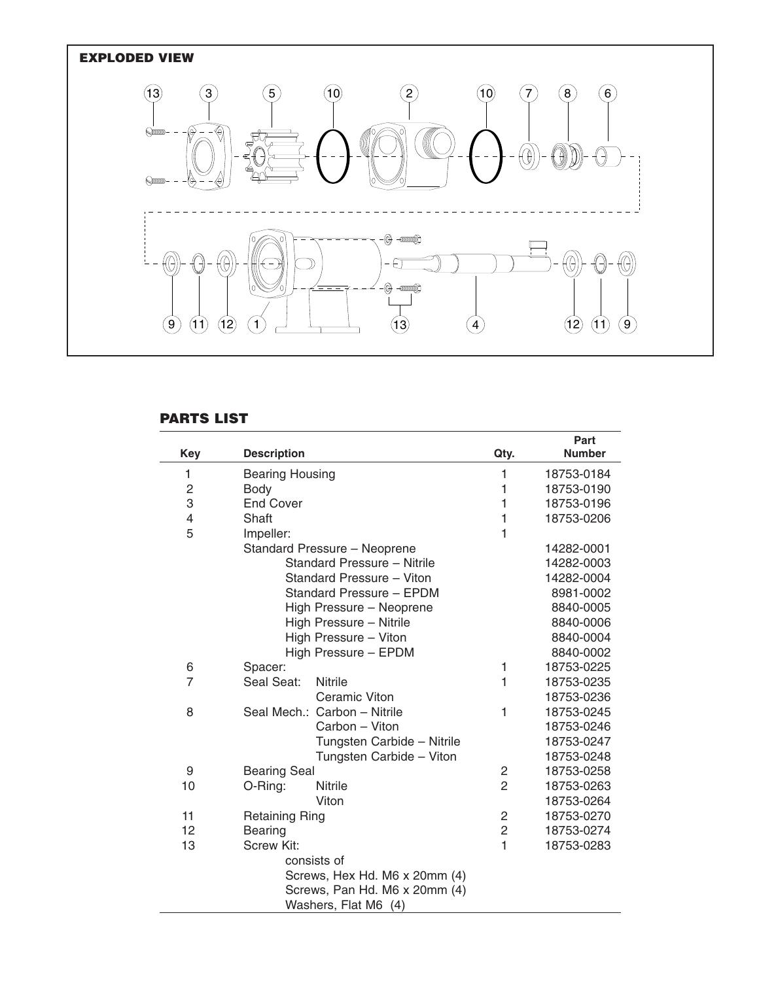

## **PARTS LIST**

| <b>Key</b>                    | <b>Description</b>           | Qty.           | Part<br><b>Number</b> |  |
|-------------------------------|------------------------------|----------------|-----------------------|--|
| 1                             | <b>Bearing Housing</b>       | 1              | 18753-0184            |  |
| $\overline{c}$                | <b>Body</b>                  | 1              | 18753-0190            |  |
| 3                             | <b>End Cover</b>             | 1              | 18753-0196            |  |
| $\overline{4}$                | Shaft                        | 1              | 18753-0206            |  |
| 5                             | Impeller:                    | 1              |                       |  |
|                               | Standard Pressure - Neoprene |                | 14282-0001            |  |
|                               | Standard Pressure - Nitrile  |                | 14282-0003            |  |
|                               | Standard Pressure - Viton    |                | 14282-0004            |  |
|                               | Standard Pressure - EPDM     |                | 8981-0002             |  |
|                               | High Pressure - Neoprene     |                | 8840-0005             |  |
|                               | High Pressure - Nitrile      |                | 8840-0006             |  |
|                               | High Pressure - Viton        |                | 8840-0004             |  |
|                               | High Pressure - EPDM         |                | 8840-0002             |  |
| 6                             | Spacer:                      | 1              | 18753-0225            |  |
| $\overline{7}$                | Seal Seat:<br><b>Nitrile</b> | 1              | 18753-0235            |  |
|                               | Ceramic Viton                |                | 18753-0236            |  |
| 8                             | Seal Mech.: Carbon - Nitrile | 1              | 18753-0245            |  |
|                               | Carbon - Viton               |                | 18753-0246            |  |
|                               | Tungsten Carbide - Nitrile   |                | 18753-0247            |  |
|                               | Tungsten Carbide - Viton     |                | 18753-0248            |  |
| 9                             | <b>Bearing Seal</b>          | 2              | 18753-0258            |  |
| 10                            | Nitrile<br>O-Ring:           | $\overline{2}$ | 18753-0263            |  |
|                               | Viton                        |                | 18753-0264            |  |
| 11                            | <b>Retaining Ring</b>        | $\overline{c}$ | 18753-0270            |  |
| 12                            | Bearing                      | $\overline{2}$ | 18753-0274            |  |
| 13                            | Screw Kit:                   | 1              | 18753-0283            |  |
|                               | consists of                  |                |                       |  |
| Screws, Hex Hd. M6 x 20mm (4) |                              |                |                       |  |
| Screws, Pan Hd. M6 x 20mm (4) |                              |                |                       |  |
| Washers, Flat M6 (4)          |                              |                |                       |  |